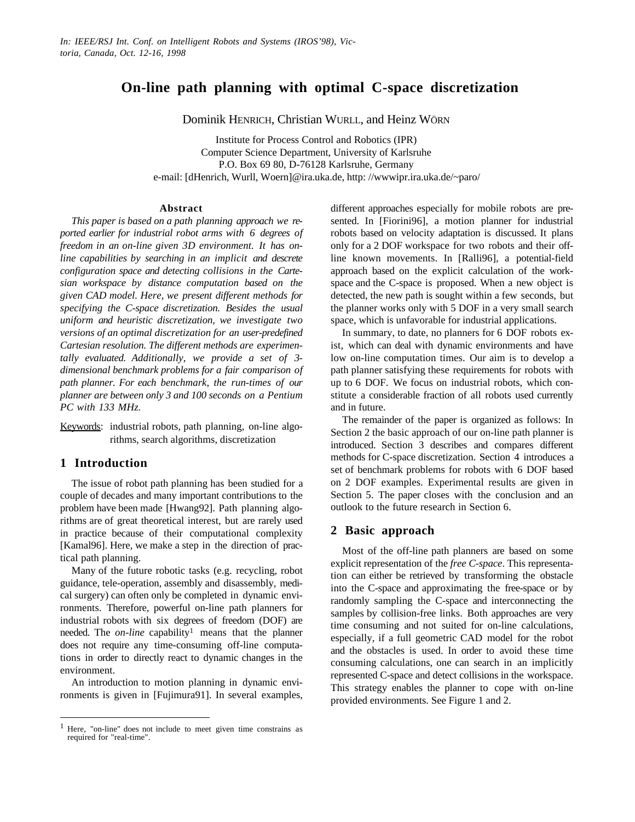# **On-line path planning with optimal C-space discretization**

Dominik HENRICH, Christian WURLL, and Heinz WÖRN

Institute for Process Control and Robotics (IPR) Computer Science Department, University of Karlsruhe P.O. Box 69 80, D-76128 Karlsruhe, Germany e-mail: [dHenrich, Wurll, Woern]@ira.uka.de, http: //wwwipr.ira.uka.de/~paro/

### **Abstract**

*This paper is based on a path planning approach we reported earlier for industrial robot arms with 6 degrees of freedom in an on-line given 3D environment. It has online capabilities by searching in an implicit and descrete configuration space and detecting collisions in the Cartesian workspace by distance computation based on the given CAD model. Here, we present different methods for specifying the C-space discretization. Besides the usual uniform and heuristic discretization, we investigate two versions of an optimal discretization for an user-predefined Cartesian resolution. The different methods are experimentally evaluated. Additionally, we provide a set of 3 dimensional benchmark problems for a fair comparison of path planner. For each benchmark, the run-times of our planner are between only 3 and 100 seconds on a Pentium PC with 133 MHz.*

Keywords: industrial robots, path planning, on-line algorithms, search algorithms, discretization

# **1 Introduction**

 $\overline{a}$ 

The issue of robot path planning has been studied for a couple of decades and many important contributions to the problem have been made [Hwang92]. Path planning algorithms are of great theoretical interest, but are rarely used in practice because of their computational complexity [Kamal96]. Here, we make a step in the direction of practical path planning.

Many of the future robotic tasks (e.g. recycling, robot guidance, tele-operation, assembly and disassembly, medical surgery) can often only be completed in dynamic environments. Therefore, powerful on-line path planners for industrial robots with six degrees of freedom (DOF) are needed. The *on-line* capability<sup>1</sup> means that the planner does not require any time-consuming off-line computations in order to directly react to dynamic changes in the environment.

An introduction to motion planning in dynamic environments is given in [Fujimura91]. In several examples, different approaches especially for mobile robots are presented. In [Fiorini96], a motion planner for industrial robots based on velocity adaptation is discussed. It plans only for a 2 DOF workspace for two robots and their offline known movements. In [Ralli96], a potential-field approach based on the explicit calculation of the workspace and the C-space is proposed. When a new object is detected, the new path is sought within a few seconds, but the planner works only with 5 DOF in a very small search space, which is unfavorable for industrial applications.

In summary, to date, no planners for 6 DOF robots exist, which can deal with dynamic environments and have low on-line computation times. Our aim is to develop a path planner satisfying these requirements for robots with up to 6 DOF. We focus on industrial robots, which constitute a considerable fraction of all robots used currently and in future.

The remainder of the paper is organized as follows: In Section 2 the basic approach of our on-line path planner is introduced. Section 3 describes and compares different methods for C-space discretization. Section 4 introduces a set of benchmark problems for robots with 6 DOF based on 2 DOF examples. Experimental results are given in Section 5. The paper closes with the conclusion and an outlook to the future research in Section 6.

# **2 Basic approach**

Most of the off-line path planners are based on some explicit representation of the *free C-space*. This representation can either be retrieved by transforming the obstacle into the C-space and approximating the free-space or by randomly sampling the C-space and interconnecting the samples by collision-free links. Both approaches are very time consuming and not suited for on-line calculations, especially, if a full geometric CAD model for the robot and the obstacles is used. In order to avoid these time consuming calculations, one can search in an implicitly represented C-space and detect collisions in the workspace. This strategy enables the planner to cope with on-line provided environments. See Figure 1 and 2.

<sup>1</sup> Here, "on-line" does not include to meet given time constrains as required for "real-time".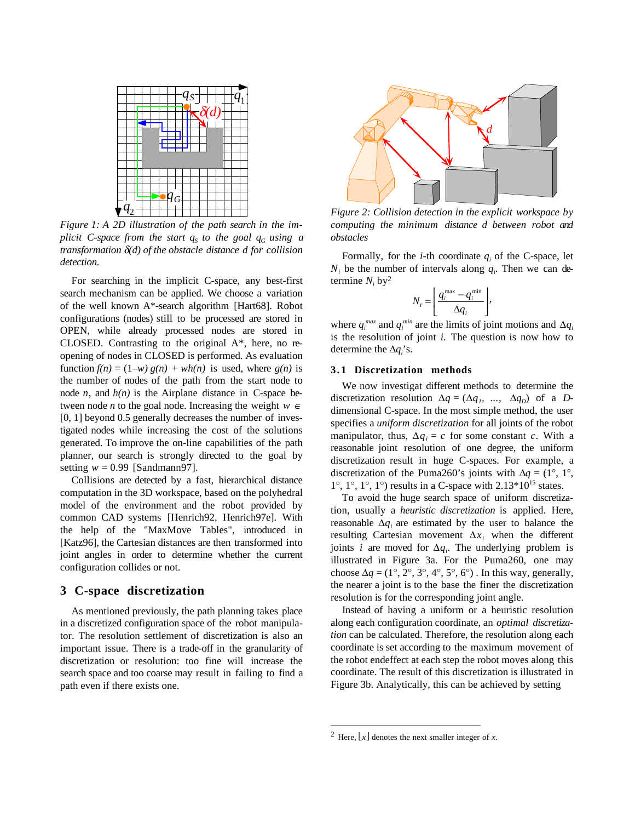

*Figure 1: A 2D illustration of the path search in the implicit C-space from the start*  $q_s$  *to the goal*  $q_g$  *using a transformation* δ*(d) of the obstacle distance d for collision detection.*

For searching in the implicit C-space, any best-first search mechanism can be applied. We choose a variation of the well known A\*-search algorithm [Hart68]. Robot configurations (nodes) still to be processed are stored in OPEN, while already processed nodes are stored in CLOSED. Contrasting to the original A\*, here, no reopening of nodes in CLOSED is performed. As evaluation function  $f(n) = (1-w) g(n) + wh(n)$  is used, where  $g(n)$  is the number of nodes of the path from the start node to node *n*, and  $h(n)$  is the Airplane distance in C-space between node *n* to the goal node. Increasing the weight *w* <sup>∈</sup> [0, 1] beyond 0.5 generally decreases the number of investigated nodes while increasing the cost of the solutions generated. To improve the on-line capabilities of the path planner, our search is strongly directed to the goal by setting  $w = 0.99$  [Sandmann97].

Collisions are detected by a fast, hierarchical distance computation in the 3D workspace, based on the polyhedral model of the environment and the robot provided by common CAD systems [Henrich92, Henrich97e]. With the help of the "MaxMove Tables", introduced in [Katz96], the Cartesian distances are then transformed into joint angles in order to determine whether the current configuration collides or not.

## **3 C-space discretization**

As mentioned previously, the path planning takes place in a discretized configuration space of the robot manipulator. The resolution settlement of discretization is also an important issue. There is a trade-off in the granularity of discretization or resolution: too fine will increase the search space and too coarse may result in failing to find a path even if there exists one.



*Figure 2: Collision detection in the explicit workspace by computing the minimum distance d between robot and obstacles*

Formally, for the  $i$ -th coordinate  $q_i$  of the C-space, let  $N_i$  be the number of intervals along  $q_i$ . Then we can determine  $N_i$  by<sup>2</sup>

$$
N_i = \left\lfloor \frac{q_i^{\max} - q_i^{\min}}{\Delta q_i} \right\rfloor,
$$

where  $q_i^{max}$  and  $q_i^{min}$  are the limits of joint motions and  $\Delta q_i$ is the resolution of joint *i.* The question is now how to determine the ∆*qi* 's.

## **3.1 Discretization methods**

We now investigat different methods to determine the discretization resolution  $\Delta q = (\Delta q_1, \ldots, \Delta q_p)$  of a *D*dimensional C-space. In the most simple method, the user specifies a *uniform discretization* for all joints of the robot manipulator, thus,  $\Delta q_i = c$  for some constant *c*. With a reasonable joint resolution of one degree, the uniform discretization result in huge C-spaces. For example, a discretization of the Puma260's joints with  $\Delta q = (1^{\circ}, 1^{\circ}, 1^{\circ})$  $1^\circ$ ,  $1^\circ$ ,  $1^\circ$ ,  $1^\circ$ ) results in a C-space with  $2.13*10^{15}$  states.

To avoid the huge search space of uniform discretization, usually a *heuristic discretization* is applied. Here, reasonable ∆*qi* are estimated by the user to balance the resulting Cartesian movement  $\Delta x_i$  when the different joints *i* are moved for ∆*qi* . The underlying problem is illustrated in Figure 3a. For the Puma260, one may choose  $\Delta q = (1^{\circ}, 2^{\circ}, 3^{\circ}, 4^{\circ}, 5^{\circ}, 6^{\circ})$ . In this way, generally, the nearer a joint is to the base the finer the discretization resolution is for the corresponding joint angle.

Instead of having a uniform or a heuristic resolution along each configuration coordinate, an *optimal discretization* can be calculated. Therefore, the resolution along each coordinate is set according to the maximum movement of the robot endeffect at each step the robot moves along this coordinate. The result of this discretization is illustrated in Figure 3b. Analytically, this can be achieved by setting

 $\overline{a}$ 

<sup>&</sup>lt;sup>2</sup> Here,  $\lfloor x \rfloor$  denotes the next smaller integer of *x*.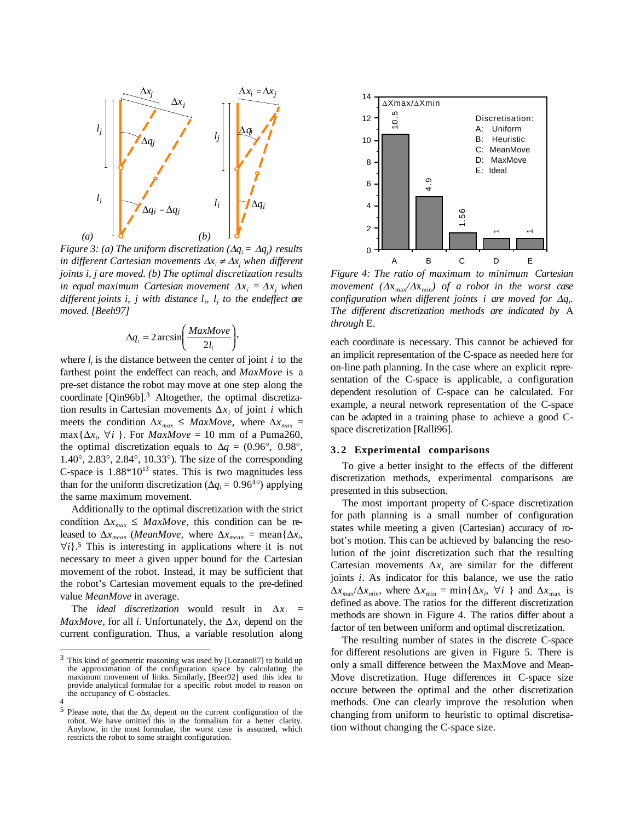

*Figure 3: (a) The uniform discretization (* $\Delta q_i = \Delta q_j$ *) results in different Cartesian movements* ∆*xi* <sup>≠</sup> <sup>∆</sup>*xj when different joints i, j are moved. (b) The optimal discretization results in equal maximum Cartesian movement*  $\Delta x_i = \Delta x_j$  when different joints *i*, *j* with distance  $l_i$ ,  $l_j$  to the endeffect are *moved. [Beeh97]*

$$
\Delta q_i = 2 \arcsin\left(\frac{MaxMove}{2l_i}\right),\,
$$

where  $l_i$  is the distance between the center of joint  $i$  to the farthest point the endeffect can reach, and *MaxMove* is a pre-set distance the robot may move at one step along the coordinate [Qin96b].3 Altogether, the optimal discretization results in Cartesian movements  $\Delta x_i$  of joint *i* which meets the condition  $\Delta x_{max}$  ≤ *MaxMove*, where  $\Delta x_{max}$  =  $max{\{\Delta x_i, \forall i\}}$ . For *MaxMove* = 10 mm of a Puma260, the optimal discretization equals to  $\Delta q = (0.96^{\circ}, 0.98^{\circ},$ 1.40°, 2.83°, 2.84°, 10.33°). The size of the corresponding C-space is  $1.88*10^{13}$  states. This is two magnitudes less than for the uniform discretization ( $\Delta q_i = 0.96^{4\circ}$ ) applying the same maximum movement.

Additionally to the optimal discretization with the strict condition  $\Delta x_{max} \leq MaxMove$ , this condition can be released to  $\Delta x_{mean}$  (*MeanMove*, where  $\Delta x_{mean}$  = mean{ $\Delta x_i$ , ∀*i*}.5 This is interesting in applications where it is not necessary to meet a given upper bound for the Cartesian movement of the robot. Instead, it may be sufficient that the robot's Cartesian movement equals to the pre-defined value *MeanMove* in average.

The *ideal discretization* would result in  $\Delta x_i$  = *MaxMove*, for all *i*. Unfortunately, the  $\Delta x_i$  depend on the current configuration. Thus, a variable resolution along

 $\overline{a}$ 



*Figure 4: The ratio of maximum to minimum Cartesian movement*  $(\Delta x_{max}/\Delta x_{min})$  *of a robot in the worst case configuration when different joints i are moved for* ∆*qi . The different discretization methods are indicated by* A *through* E.

each coordinate is necessary. This cannot be achieved for an implicit representation of the C-space as needed here for on-line path planning. In the case where an explicit representation of the C-space is applicable, a configuration dependent resolution of C-space can be calculated. For example, a neural network representation of the C-space can be adapted in a training phase to achieve a good Cspace discretization [Ralli96].

#### **3.2 Experimental comparisons**

To give a better insight to the effects of the different discretization methods, experimental comparisons are presented in this subsection.

The most important property of C-space discretization for path planning is a small number of configuration states while meeting a given (Cartesian) accuracy of robot's motion. This can be achieved by balancing the resolution of the joint discretization such that the resulting Cartesian movements  $\Delta x_i$  are similar for the different joints *i*. As indicator for this balance, we use the ratio  $\Delta x_{max}/\Delta x_{min}$ , where  $\Delta x_{min} = \min{\{\Delta x_i, \forall i\} \text{ and } \Delta x_{max} \text{ is}}$ defined as above. The ratios for the different discretization methods are shown in Figure 4. The ratios differ about a factor of ten between uniform and optimal discretization.

The resulting number of states in the discrete C-space for different resolutions are given in Figure 5. There is only a small difference between the MaxMove and Mean-Move discretization. Huge differences in C-space size occure between the optimal and the other discretization methods. One can clearly improve the resolution when changing from uniform to heuristic to optimal discretisation without changing the C-space size.

<sup>3</sup> This kind of geometric reasoning was used by [Lozano87] to build up the approximation of the configuration space by calculating the maximum movement of links. Similarly, [Beer92] used this idea to provide analytical formulae for a specific robot model to reason on the occupancy of C-obstacles.

<sup>4</sup>

<sup>&</sup>lt;sup>5</sup> Please note, that the  $\Delta x_i$  depent on the current configuration of the robot. We have omitted this in the formalism for a better clarity. Anyhow, in the most formulae, the worst case is assumed, which restricts the robot to some straight configuration.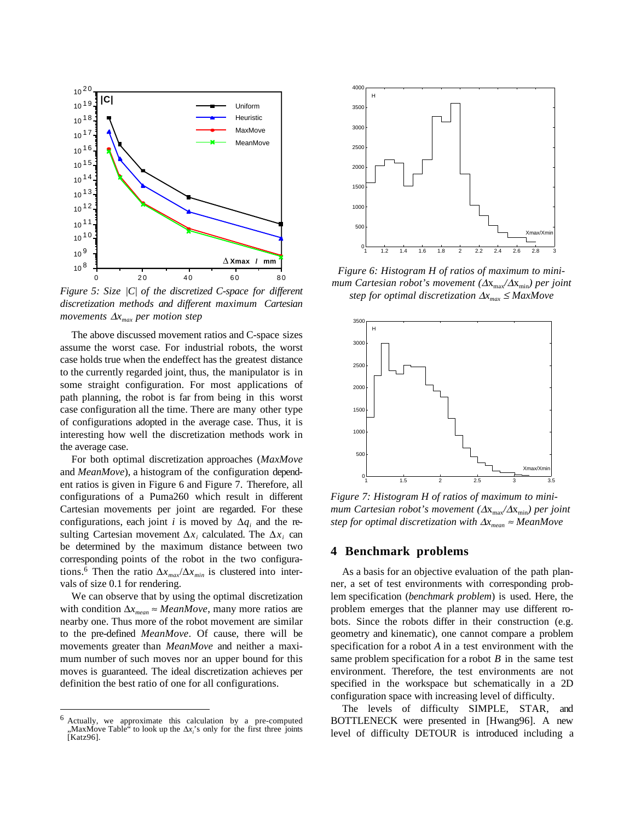

*Figure 5: Size |C| of the discretized C-space for different discretization methods and different maximum Cartesian movements*  $\Delta x_{max}$  *per motion step* 

The above discussed movement ratios and C-space sizes assume the worst case. For industrial robots, the worst case holds true when the endeffect has the greatest distance to the currently regarded joint, thus, the manipulator is in some straight configuration. For most applications of path planning, the robot is far from being in this worst case configuration all the time. There are many other type of configurations adopted in the average case. Thus, it is interesting how well the discretization methods work in the average case.

For both optimal discretization approaches (*MaxMove* and *MeanMove*), a histogram of the configuration dependent ratios is given in Figure 6 and Figure 7. Therefore, all configurations of a Puma260 which result in different Cartesian movements per joint are regarded. For these configurations, each joint *i* is moved by  $\Delta q_i$  and the resulting Cartesian movement  $\Delta x_i$  calculated. The  $\Delta x_i$  can be determined by the maximum distance between two corresponding points of the robot in the two configurations.<sup>6</sup> Then the ratio  $\Delta x_{max}/\Delta x_{min}$  is clustered into intervals of size 0.1 for rendering.

We can observe that by using the optimal discretization with condition  $\Delta x_{mean} \approx MeanMove$ , many more ratios are nearby one. Thus more of the robot movement are similar to the pre-defined *MeanMove*. Of cause, there will be movements greater than *MeanMove* and neither a maximum number of such moves nor an upper bound for this moves is guaranteed. The ideal discretization achieves per definition the best ratio of one for all configurations.

 $\overline{a}$ 



*Figure 6: Histogram H of ratios of maximum to minimum Cartesian robot's movement (*∆x<sub>max</sub>/∆x<sub>min</sub>) per joint *step for optimal discretization* ∆*xmax* <sup>≤</sup> *MaxMove*



*Figure 7: Histogram H of ratios of maximum to minimum Cartesian robot's movement (* $\Delta x_{max}/\Delta x_{min}$ *) per joint step for optimal discretization with*  $\Delta x_{mean} \approx MeanMove$ 

## **4 Benchmark problems**

As a basis for an objective evaluation of the path planner, a set of test environments with corresponding problem specification (*benchmark problem*) is used. Here, the problem emerges that the planner may use different robots. Since the robots differ in their construction (e.g. geometry and kinematic), one cannot compare a problem specification for a robot *A* in a test environment with the same problem specification for a robot *B* in the same test environment. Therefore, the test environments are not specified in the workspace but schematically in a 2D configuration space with increasing level of difficulty.

The levels of difficulty SIMPLE, STAR, and BOTTLENECK were presented in [Hwang96]. A new level of difficulty DETOUR is introduced including a

<sup>6</sup> Actually, we approximate this calculation by a pre-computed "MaxMove Table<sup>"</sup> to look up the ∆*x<sub>i</sub>*'s only for the first three joints [Katz96].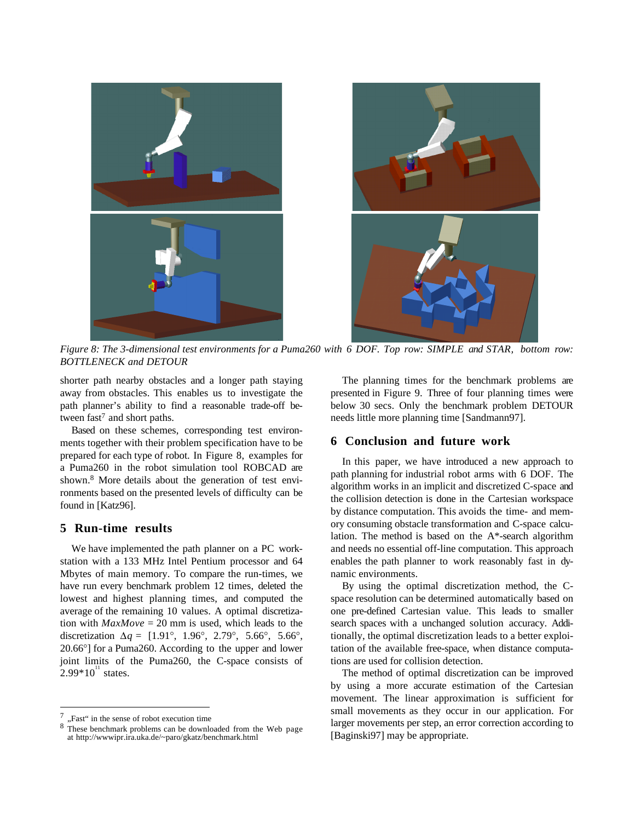

*Figure 8: The 3-dimensional test environments for a Puma260 with 6 DOF. Top row: SIMPLE and STAR, bottom row: BOTTLENECK and DETOUR*

shorter path nearby obstacles and a longer path staying away from obstacles. This enables us to investigate the path planner's ability to find a reasonable trade-off between fast<sup>7</sup> and short paths.

Based on these schemes, corresponding test environments together with their problem specification have to be prepared for each type of robot. In Figure 8, examples for a Puma260 in the robot simulation tool ROBCAD are shown.8 More details about the generation of test environments based on the presented levels of difficulty can be found in [Katz96].

## **5 Run-time results**

We have implemented the path planner on a PC workstation with a 133 MHz Intel Pentium processor and 64 Mbytes of main memory. To compare the run-times, we have run every benchmark problem 12 times, deleted the lowest and highest planning times, and computed the average of the remaining 10 values. A optimal discretization with  $MaxMove = 20$  mm is used, which leads to the discretization  $\Delta q = [1.91^\circ, 1.96^\circ, 2.79^\circ, 5.66^\circ, 5.66^\circ]$ 20.66°] for a Puma260. According to the upper and lower joint limits of the Puma260, the C-space consists of  $2.99*10^{11}$  states.

 $\overline{a}$ 

The planning times for the benchmark problems are presented in Figure 9. Three of four planning times were below 30 secs. Only the benchmark problem DETOUR needs little more planning time [Sandmann97].

## **6 Conclusion and future work**

In this paper, we have introduced a new approach to path planning for industrial robot arms with 6 DOF. The algorithm works in an implicit and discretized C-space and the collision detection is done in the Cartesian workspace by distance computation. This avoids the time- and memory consuming obstacle transformation and C-space calculation. The method is based on the A\*-search algorithm and needs no essential off-line computation. This approach enables the path planner to work reasonably fast in dynamic environments.

By using the optimal discretization method, the Cspace resolution can be determined automatically based on one pre-defined Cartesian value. This leads to smaller search spaces with a unchanged solution accuracy. Additionally, the optimal discretization leads to a better exploitation of the available free-space, when distance computations are used for collision detection.

The method of optimal discretization can be improved by using a more accurate estimation of the Cartesian movement. The linear approximation is sufficient for small movements as they occur in our application. For larger movements per step, an error correction according to [Baginski97] may be appropriate.

<sup>&</sup>quot;Fast" in the sense of robot execution time

<sup>8</sup> These benchmark problems can be downloaded from the Web page at http://wwwipr.ira.uka.de/~paro/gkatz/benchmark.html